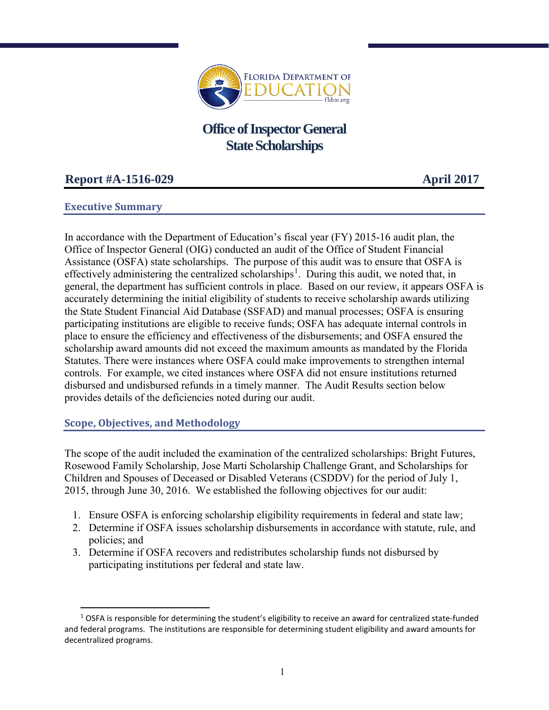

# **Office of Inspector General State Scholarships**

## **Report #A-1516-029 April 2017**

### **Executive Summary**

In accordance with the Department of Education's fiscal year (FY) 2015-16 audit plan, the Office of Inspector General (OIG) conducted an audit of the Office of Student Financial Assistance (OSFA) state scholarships. The purpose of this audit was to ensure that OSFA is effectively administering the centralized scholarships<sup>[1](#page-0-0)</sup>. During this audit, we noted that, in general, the department has sufficient controls in place. Based on our review, it appears OSFA is accurately determining the initial eligibility of students to receive scholarship awards utilizing the State Student Financial Aid Database (SSFAD) and manual processes; OSFA is ensuring participating institutions are eligible to receive funds; OSFA has adequate internal controls in place to ensure the efficiency and effectiveness of the disbursements; and OSFA ensured the scholarship award amounts did not exceed the maximum amounts as mandated by the Florida Statutes. There were instances where OSFA could make improvements to strengthen internal controls. For example, we cited instances where OSFA did not ensure institutions returned disbursed and undisbursed refunds in a timely manner. The Audit Results section below provides details of the deficiencies noted during our audit.

#### **Scope, Objectives, and Methodology**

The scope of the audit included the examination of the centralized scholarships: Bright Futures, Rosewood Family Scholarship, Jose Marti Scholarship Challenge Grant, and Scholarships for Children and Spouses of Deceased or Disabled Veterans (CSDDV) for the period of July 1, 2015, through June 30, 2016. We established the following objectives for our audit:

- 1. Ensure OSFA is enforcing scholarship eligibility requirements in federal and state law;
- 2. Determine if OSFA issues scholarship disbursements in accordance with statute, rule, and policies; and
- 3. Determine if OSFA recovers and redistributes scholarship funds not disbursed by participating institutions per federal and state law.

<span id="page-0-0"></span> $1$  OSFA is responsible for determining the student's eligibility to receive an award for centralized state-funded and federal programs. The institutions are responsible for determining student eligibility and award amounts for decentralized programs.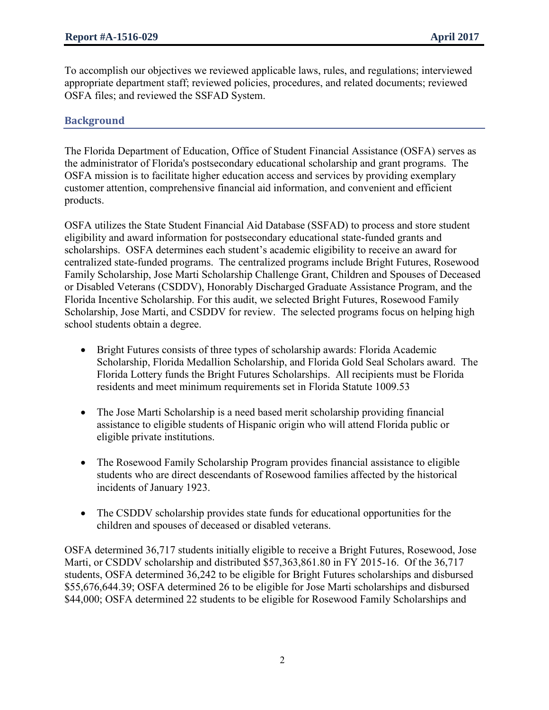To accomplish our objectives we reviewed applicable laws, rules, and regulations; interviewed appropriate department staff; reviewed policies, procedures, and related documents; reviewed OSFA files; and reviewed the SSFAD System.

### **Background**

The Florida Department of Education, Office of Student Financial Assistance (OSFA) serves as the administrator of Florida's postsecondary educational scholarship and grant programs. The OSFA mission is to facilitate higher education access and services by providing exemplary customer attention, comprehensive financial aid information, and convenient and efficient products.

OSFA utilizes the State Student Financial Aid Database (SSFAD) to process and store student eligibility and award information for postsecondary educational state-funded grants and scholarships. OSFA determines each student's academic eligibility to receive an award for centralized state-funded programs. The centralized programs include Bright Futures, Rosewood Family Scholarship, Jose Marti Scholarship Challenge Grant, Children and Spouses of Deceased or Disabled Veterans (CSDDV), Honorably Discharged Graduate Assistance Program, and the Florida Incentive Scholarship. For this audit, we selected Bright Futures, Rosewood Family Scholarship, Jose Marti, and CSDDV for review. The selected programs focus on helping high school students obtain a degree.

- Bright Futures consists of three types of scholarship awards: Florida Academic Scholarship, Florida Medallion Scholarship, and Florida Gold Seal Scholars award. The Florida Lottery funds the Bright Futures Scholarships. All recipients must be Florida residents and meet minimum requirements set in Florida Statute 1009.53
- The Jose Marti Scholarship is a need based merit scholarship providing financial assistance to eligible students of Hispanic origin who will attend Florida public or eligible private institutions.
- The Rosewood Family Scholarship Program provides financial assistance to eligible students who are direct descendants of Rosewood families affected by the historical incidents of January 1923.
- The CSDDV scholarship provides state funds for educational opportunities for the children and spouses of deceased or disabled veterans.

OSFA determined 36,717 students initially eligible to receive a Bright Futures, Rosewood, Jose Marti, or CSDDV scholarship and distributed \$57,363,861.80 in FY 2015-16. Of the 36,717 students, OSFA determined 36,242 to be eligible for Bright Futures scholarships and disbursed \$55,676,644.39; OSFA determined 26 to be eligible for Jose Marti scholarships and disbursed \$44,000; OSFA determined 22 students to be eligible for Rosewood Family Scholarships and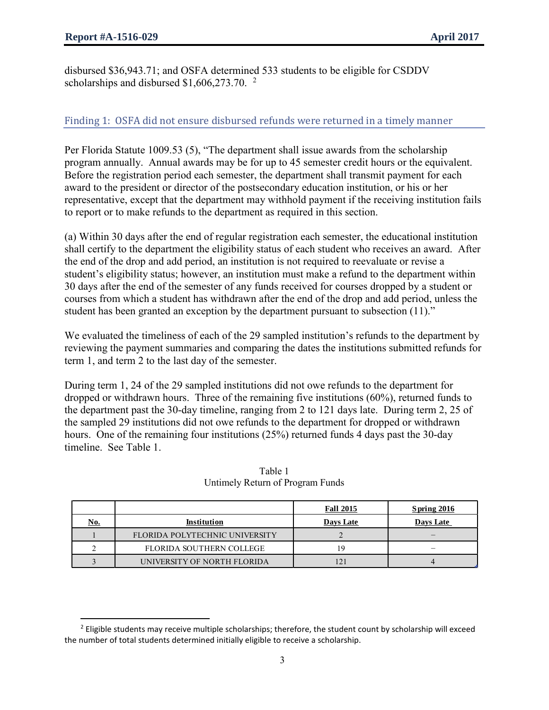disbursed \$36,943.71; and OSFA determined 533 students to be eligible for CSDDV scholarships and disbursed  $$1,606,273.70$  $$1,606,273.70$  $$1,606,273.70$ . <sup>2</sup>

## Finding 1: OSFA did not ensure disbursed refunds were returned in a timely manner

Per Florida Statute 1009.53 (5), "The department shall issue awards from the scholarship program annually. Annual awards may be for up to 45 semester credit hours or the equivalent. Before the registration period each semester, the department shall transmit payment for each award to the president or director of the postsecondary education institution, or his or her representative, except that the department may withhold payment if the receiving institution fails to report or to make refunds to the department as required in this section.

(a) Within 30 days after the end of regular registration each semester, the educational institution shall certify to the department the eligibility status of each student who receives an award. After the end of the drop and add period, an institution is not required to reevaluate or revise a student's eligibility status; however, an institution must make a refund to the department within 30 days after the end of the semester of any funds received for courses dropped by a student or courses from which a student has withdrawn after the end of the drop and add period, unless the student has been granted an exception by the department pursuant to subsection (11)."

We evaluated the timeliness of each of the 29 sampled institution's refunds to the department by reviewing the payment summaries and comparing the dates the institutions submitted refunds for term 1, and term 2 to the last day of the semester.

During term 1, 24 of the 29 sampled institutions did not owe refunds to the department for dropped or withdrawn hours. Three of the remaining five institutions (60%), returned funds to the department past the 30-day timeline, ranging from 2 to 121 days late. During term 2, 25 of the sampled 29 institutions did not owe refunds to the department for dropped or withdrawn hours. One of the remaining four institutions (25%) returned funds 4 days past the 30-day timeline. See Table 1.

|            |                                | <b>Fall 2015</b> | Spring 2016              |
|------------|--------------------------------|------------------|--------------------------|
| <u>No.</u> | Institution                    | Days Late        | Days Late                |
|            | FLORIDA POLYTECHNIC UNIVERSITY |                  |                          |
|            | FLORIDA SOUTHERN COLLEGE       | 19               | $\overline{\phantom{a}}$ |
|            | UNIVERSITY OF NORTH FLORIDA    | 121              |                          |

Table 1 Untimely Return of Program Funds

<span id="page-2-0"></span> $<sup>2</sup>$  Eligible students may receive multiple scholarships; therefore, the student count by scholarship will exceed</sup> the number of total students determined initially eligible to receive a scholarship.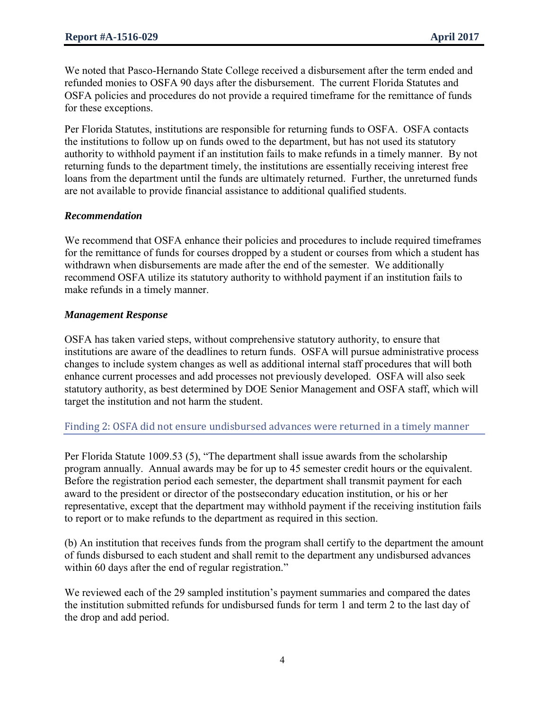We noted that Pasco-Hernando State College received a disbursement after the term ended and refunded monies to OSFA 90 days after the disbursement. The current Florida Statutes and OSFA policies and procedures do not provide a required timeframe for the remittance of funds for these exceptions.

Per Florida Statutes, institutions are responsible for returning funds to OSFA. OSFA contacts the institutions to follow up on funds owed to the department, but has not used its statutory authority to withhold payment if an institution fails to make refunds in a timely manner. By not returning funds to the department timely, the institutions are essentially receiving interest free loans from the department until the funds are ultimately returned. Further, the unreturned funds are not available to provide financial assistance to additional qualified students.

#### *Recommendation*

We recommend that OSFA enhance their policies and procedures to include required timeframes for the remittance of funds for courses dropped by a student or courses from which a student has withdrawn when disbursements are made after the end of the semester. We additionally recommend OSFA utilize its statutory authority to withhold payment if an institution fails to make refunds in a timely manner.

#### *Management Response*

OSFA has taken varied steps, without comprehensive statutory authority, to ensure that institutions are aware of the deadlines to return funds. OSFA will pursue administrative process changes to include system changes as well as additional internal staff procedures that will both enhance current processes and add processes not previously developed. OSFA will also seek statutory authority, as best determined by DOE Senior Management and OSFA staff, which will target the institution and not harm the student.

#### Finding 2: OSFA did not ensure undisbursed advances were returned in a timely manner

Per Florida Statute 1009.53 (5), "The department shall issue awards from the scholarship program annually. Annual awards may be for up to 45 semester credit hours or the equivalent. Before the registration period each semester, the department shall transmit payment for each award to the president or director of the postsecondary education institution, or his or her representative, except that the department may withhold payment if the receiving institution fails to report or to make refunds to the department as required in this section.

(b) An institution that receives funds from the program shall certify to the department the amount of funds disbursed to each student and shall remit to the department any undisbursed advances within 60 days after the end of regular registration."

We reviewed each of the 29 sampled institution's payment summaries and compared the dates the institution submitted refunds for undisbursed funds for term 1 and term 2 to the last day of the drop and add period.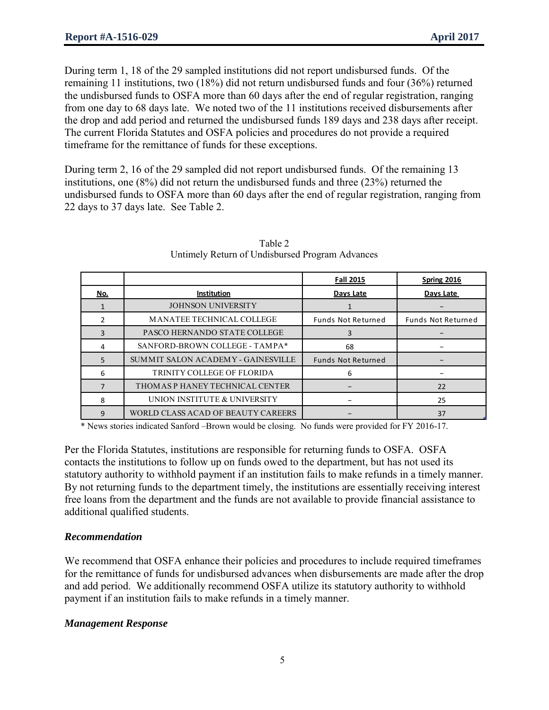During term 1, 18 of the 29 sampled institutions did not report undisbursed funds. Of the remaining 11 institutions, two (18%) did not return undisbursed funds and four (36%) returned the undisbursed funds to OSFA more than 60 days after the end of regular registration, ranging from one day to 68 days late. We noted two of the 11 institutions received disbursements after the drop and add period and returned the undisbursed funds 189 days and 238 days after receipt. The current Florida Statutes and OSFA policies and procedures do not provide a required timeframe for the remittance of funds for these exceptions.

During term 2, 16 of the 29 sampled did not report undisbursed funds. Of the remaining 13 institutions, one (8%) did not return the undisbursed funds and three (23%) returned the undisbursed funds to OSFA more than 60 days after the end of regular registration, ranging from 22 days to 37 days late. See Table 2.

|            |                                    | <b>Fall 2015</b>          | Spring 2016               |  |  |  |  |
|------------|------------------------------------|---------------------------|---------------------------|--|--|--|--|
| <u>No.</u> | Institution                        | Days Late                 | Days Late                 |  |  |  |  |
|            | <b>JOHNSON UNIVERSITY</b>          |                           |                           |  |  |  |  |
| 2          | <b>MANATEE TECHNICAL COLLEGE</b>   | <b>Funds Not Returned</b> | <b>Funds Not Returned</b> |  |  |  |  |
| 3          | PASCO HERNANDO STATE COLLEGE       | 3                         |                           |  |  |  |  |
| 4          | SANFORD-BROWN COLLEGE - TAMPA*     | 68                        |                           |  |  |  |  |
| 5          | SUMMIT SALON ACADEMY - GAINESVILLE | <b>Funds Not Returned</b> |                           |  |  |  |  |
| 6          | TRINITY COLLEGE OF FLORIDA         | 6                         |                           |  |  |  |  |
| 7          | THOMAS P HANEY TECHNICAL CENTER    |                           | 22                        |  |  |  |  |
| 8          | UNION INSTITUTE & UNIVERSITY       |                           | 25                        |  |  |  |  |
| 9          | WORLD CLASS ACAD OF BEAUTY CAREERS |                           | 37                        |  |  |  |  |

Table 2 Untimely Return of Undisbursed Program Advances

\* News stories indicated Sanford –Brown would be closing. No funds were provided for FY 2016-17.

Per the Florida Statutes, institutions are responsible for returning funds to OSFA. OSFA contacts the institutions to follow up on funds owed to the department, but has not used its statutory authority to withhold payment if an institution fails to make refunds in a timely manner. By not returning funds to the department timely, the institutions are essentially receiving interest free loans from the department and the funds are not available to provide financial assistance to additional qualified students.

## *Recommendation*

We recommend that OSFA enhance their policies and procedures to include required timeframes for the remittance of funds for undisbursed advances when disbursements are made after the drop and add period. We additionally recommend OSFA utilize its statutory authority to withhold payment if an institution fails to make refunds in a timely manner.

## *Management Response*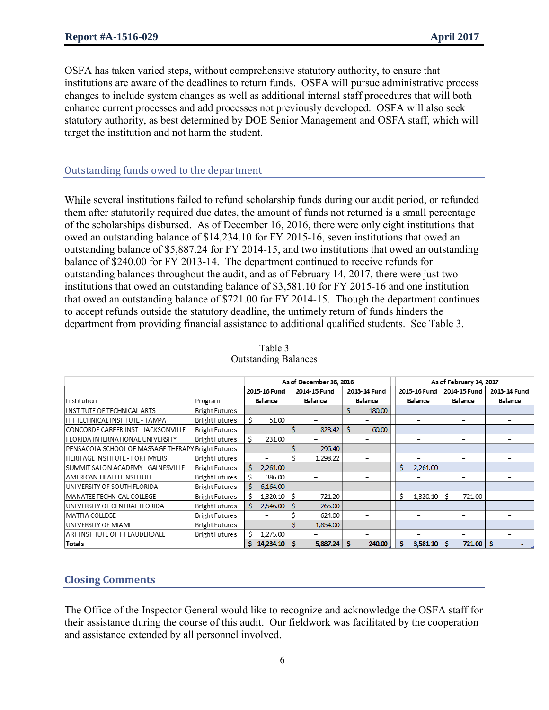OSFA has taken varied steps, without comprehensive statutory authority, to ensure that institutions are aware of the deadlines to return funds. OSFA will pursue administrative process changes to include system changes as well as additional internal staff procedures that will both enhance current processes and add processes not previously developed. OSFA will also seek statutory authority, as best determined by DOE Senior Management and OSFA staff, which will target the institution and not harm the student.

#### Outstanding funds owed to the department

While several institutions failed to refund scholarship funds during our audit period, or refunded them after statutorily required due dates, the amount of funds not returned is a small percentage of the scholarships disbursed. As of December 16, 2016, there were only eight institutions that owed an outstanding balance of \$14,234.10 for FY 2015-16, seven institutions that owed an outstanding balance of \$5,887.24 for FY 2014-15, and two institutions that owed an outstanding balance of \$240.00 for FY 2013-14. The department continued to receive refunds for outstanding balances throughout the audit, and as of February 14, 2017, there were just two institutions that owed an outstanding balance of \$3,581.10 for FY 2015-16 and one institution that owed an outstanding balance of \$721.00 for FY 2014-15. Though the department continues to accept refunds outside the statutory deadline, the untimely return of funds hinders the department from providing financial assistance to additional qualified students. See Table 3.

|                                                         |                                                   | As of December 16, 2016 |                      |         |                              | As of February 14, 2017 |              |                          |               |         |              |         |  |  |
|---------------------------------------------------------|---------------------------------------------------|-------------------------|----------------------|---------|------------------------------|-------------------------|--------------|--------------------------|---------------|---------|--------------|---------|--|--|
|                                                         |                                                   |                         | 2015-16 Fund         |         | 2014-15 Fund<br>2013-14 Fund |                         | 2015-16 Fund |                          | 2014-15 Fund  |         | 2013-14 Fund |         |  |  |
| Institution                                             | Program                                           |                         | Balance              | Balance |                              | Balance                 |              | Balance                  |               | Balance |              | Balance |  |  |
| <b>INSTITUTE OF TECHNICAL ARTS</b>                      | <b>Bright Futures</b>                             |                         |                      |         |                              |                         | 180,00       |                          |               |         |              |         |  |  |
| ITT TECHNICAL INSTITUTE - TAMPA                         | Bright Futures                                    |                         | 51.00                |         |                              |                         |              |                          |               |         |              |         |  |  |
| CONCORDE CAREER INST - JACKSONVILLE                     | <b>Bright Futures</b>                             |                         |                      |         | 828.42                       | Ŝ<br>60.00              |              |                          |               |         |              |         |  |  |
| FLORIDA INTERNATIONAL UNIVERSITY                        | <b>Bright Futures</b>                             |                         | 231.00               |         |                              |                         |              |                          |               |         |              |         |  |  |
| PENSACOLA SCHOOL OF MASSAGE THERAPY Bright Futures      |                                                   |                         |                      |         | 296.40                       |                         | -            |                          | -             |         | -            |         |  |  |
| HERITAGE IN STITUTE - FORT MYERS                        | Bright Futures                                    |                         |                      |         | 1,298.22                     |                         |              | $\overline{\phantom{0}}$ |               |         |              |         |  |  |
| SUMMIT SALON ACADEMY - GAINESVILLE                      | <b>Bright Futures</b>                             |                         | 2,261,00             |         |                              |                         |              | Ś                        | 2,261.00      |         |              |         |  |  |
| AMERICAN HEALTH INSTITUTE                               | <b>Bright Futures</b>                             |                         | 386.00               |         |                              |                         |              |                          |               |         |              |         |  |  |
| UNIVERSITY OF SOUTH FLORIDA                             | <b>Bright Futures</b>                             |                         | 6,164.00             |         |                              |                         |              |                          |               |         |              |         |  |  |
| MANATEE TECHNICAL COLLEGE                               | <b>Bright Futures</b><br>1,320.10<br>721.20<br>-S |                         |                      |         | 1,320.10                     | Ŝ                       | 721.00       |                          |               |         |              |         |  |  |
| UNIVERSITY OF CENTRAL FLORIDA                           | <b>Bright Futures</b>                             |                         | 2,546,00             | l \$    | 265.00                       |                         |              |                          |               |         |              |         |  |  |
| MATTIA COLLEGE                                          | <b>Bright Futures</b>                             |                         |                      |         | 624.00                       |                         |              |                          |               |         |              |         |  |  |
| UNIVERSITY OF MIAMI                                     | Bright Futures                                    |                         |                      | Ś       | 1,854.00                     |                         |              |                          |               |         |              |         |  |  |
| <b>Bright Futures</b><br>ART INSTITUTE OF FT LAUDERDALE |                                                   |                         | Ś<br>1,275.00        |         |                              |                         |              |                          |               |         |              |         |  |  |
| Totals                                                  |                                                   |                         | $14,234,10$ \$<br>S. |         | 5,887.24                     | Ś                       | 240.00       | s                        | $3,581.10$ \$ |         | $721.00$ \$  |         |  |  |

#### Table 3 Outstanding Balances

## **Closing Comments**

The Office of the Inspector General would like to recognize and acknowledge the OSFA staff for their assistance during the course of this audit. Our fieldwork was facilitated by the cooperation and assistance extended by all personnel involved.